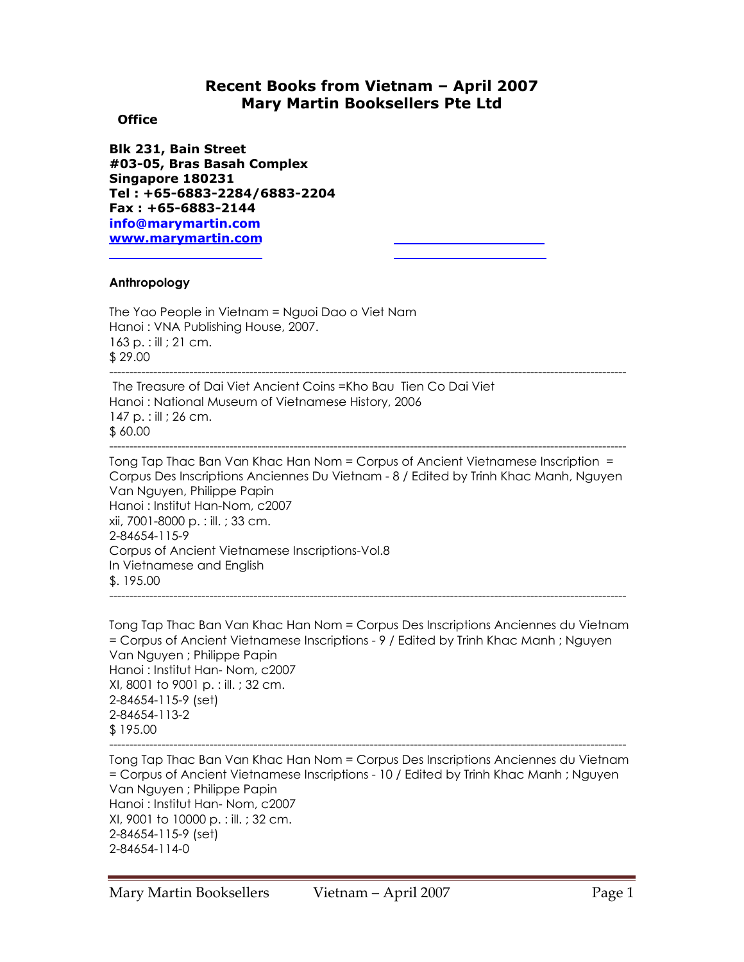# **Recent Books from Vietnam – April 2007 Mary Martin Booksellers Pte Ltd**

## **Office**

**Blk 231, Bain Street #03-05, Bras Basah Complex Singapore 180231 Tel : +65-6883-2284/6883-2204 Fax : +65-6883-2144 info@marymartin.com www.marymartin.com**

# **Anthropology**

The Yao People in Vietnam = Nguoi Dao o Viet Nam Hanoi : VNA Publishing House, 2007. 163 p. : ill ; 21 cm. \$ 29.00 ---------------------------------------------------------------------------------------------------------------------------------

 The Treasure of Dai Viet Ancient Coins =Kho Bau Tien Co Dai Viet Hanoi : National Museum of Vietnamese History, 2006 147 p. : ill ; 26 cm. \$ 60.00

--------------------------------------------------------------------------------------------------------------------------------- Tong Tap Thac Ban Van Khac Han Nom = Corpus of Ancient Vietnamese Inscription = Corpus Des Inscriptions Anciennes Du Vietnam - 8 / Edited by Trinh Khac Manh, Nguyen Van Nguyen, Philippe Papin Hanoi : Institut Han-Nom, c2007 xii, 7001-8000 p. : ill. ; 33 cm. 2-84654-115-9 Corpus of Ancient Vietnamese Inscriptions-Vol.8 In Vietnamese and English \$. 195.00 ---------------------------------------------------------------------------------------------------------------------------------

Tong Tap Thac Ban Van Khac Han Nom = Corpus Des Inscriptions Anciennes du Vietnam = Corpus of Ancient Vietnamese Inscriptions - 9 / Edited by Trinh Khac Manh ; Nguyen Van Nguyen ; Philippe Papin Hanoi : Institut Han- Nom, c2007 XI, 8001 to 9001 p. : ill. ; 32 cm. 2-84654-115-9 (set) 2-84654-113-2 \$ 195.00

--------------------------------------------------------------------------------------------------------------------------------- Tong Tap Thac Ban Van Khac Han Nom = Corpus Des Inscriptions Anciennes du Vietnam = Corpus of Ancient Vietnamese Inscriptions - 10 / Edited by Trinh Khac Manh ; Nguyen Van Nguyen ; Philippe Papin Hanoi : Institut Han- Nom, c2007 XI, 9001 to 10000 p. : ill. ; 32 cm. 2-84654-115-9 (set) 2-84654-114-0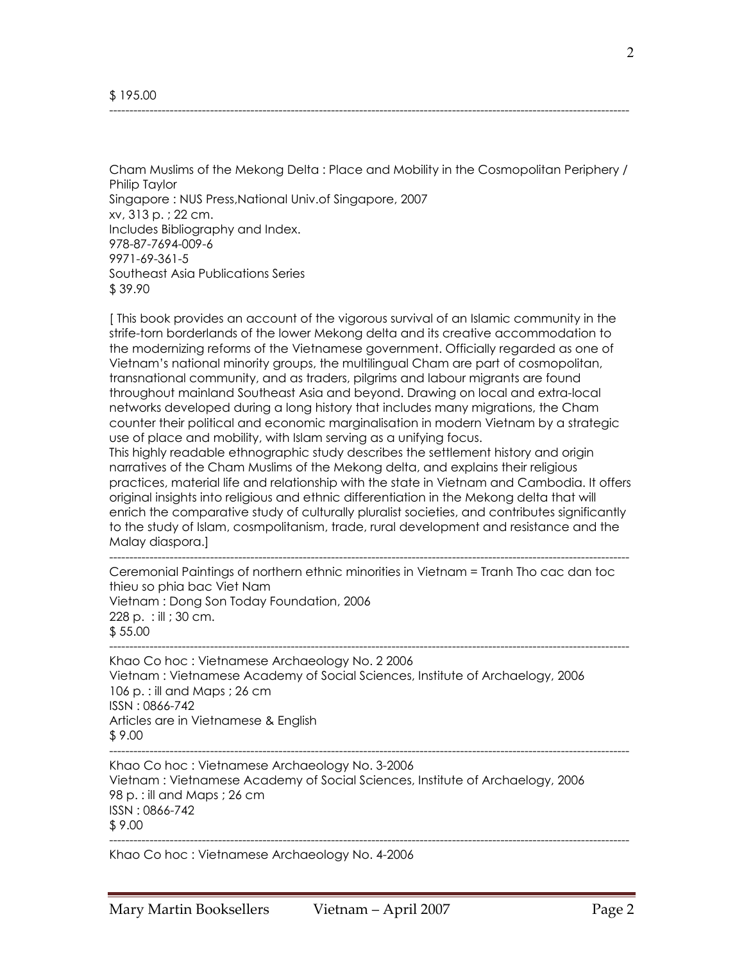\$ 195.00

Cham Muslims of the Mekong Delta : Place and Mobility in the Cosmopolitan Periphery / Philip Taylor Singapore : NUS Press,National Univ.of Singapore, 2007 xv, 313 p. ; 22 cm. Includes Bibliography and Index. 978-87-7694-009-6 9971-69-361-5 Southeast Asia Publications Series \$ 39.90

---------------------------------------------------------------------------------------------------------------------------------

[ This book provides an account of the vigorous survival of an Islamic community in the strife-torn borderlands of the lower Mekong delta and its creative accommodation to the modernizing reforms of the Vietnamese government. Officially regarded as one of Vietnam's national minority groups, the multilingual Cham are part of cosmopolitan, transnational community, and as traders, pilgrims and labour migrants are found throughout mainland Southeast Asia and beyond. Drawing on local and extra-local networks developed during a long history that includes many migrations, the Cham counter their political and economic marginalisation in modern Vietnam by a strategic use of place and mobility, with Islam serving as a unifying focus. This highly readable ethnographic study describes the settlement history and origin narratives of the Cham Muslims of the Mekong delta, and explains their religious practices, material life and relationship with the state in Vietnam and Cambodia. It offers original insights into religious and ethnic differentiation in the Mekong delta that will enrich the comparative study of culturally pluralist societies, and contributes significantly to the study of Islam, cosmpolitanism, trade, rural development and resistance and the

Malay diaspora.]

--------------------------------------------------------------------------------------------------------------------------------- Ceremonial Paintings of northern ethnic minorities in Vietnam = Tranh Tho cac dan toc thieu so phia bac Viet Nam Vietnam : Dong Son Today Foundation, 2006 228 p. : ill ; 30 cm. \$ 55.00

---------------------------------------------------------------------------------------------------------------------------------

---------------------------------------------------------------------------------------------------------------------------------

Khao Co hoc : Vietnamese Archaeology No. 2 2006 Vietnam : Vietnamese Academy of Social Sciences, Institute of Archaelogy, 2006 106 p. : ill and Maps ; 26 cm ISSN : 0866-742 Articles are in Vietnamese & English \$ 9.00

Khao Co hoc : Vietnamese Archaeology No. 3-2006 Vietnam : Vietnamese Academy of Social Sciences, Institute of Archaelogy, 2006 98 p. : ill and Maps ; 26 cm ISSN : 0866-742 \$ 9.00 ---------------------------------------------------------------------------------------------------------------------------------

Khao Co hoc : Vietnamese Archaeology No. 4-2006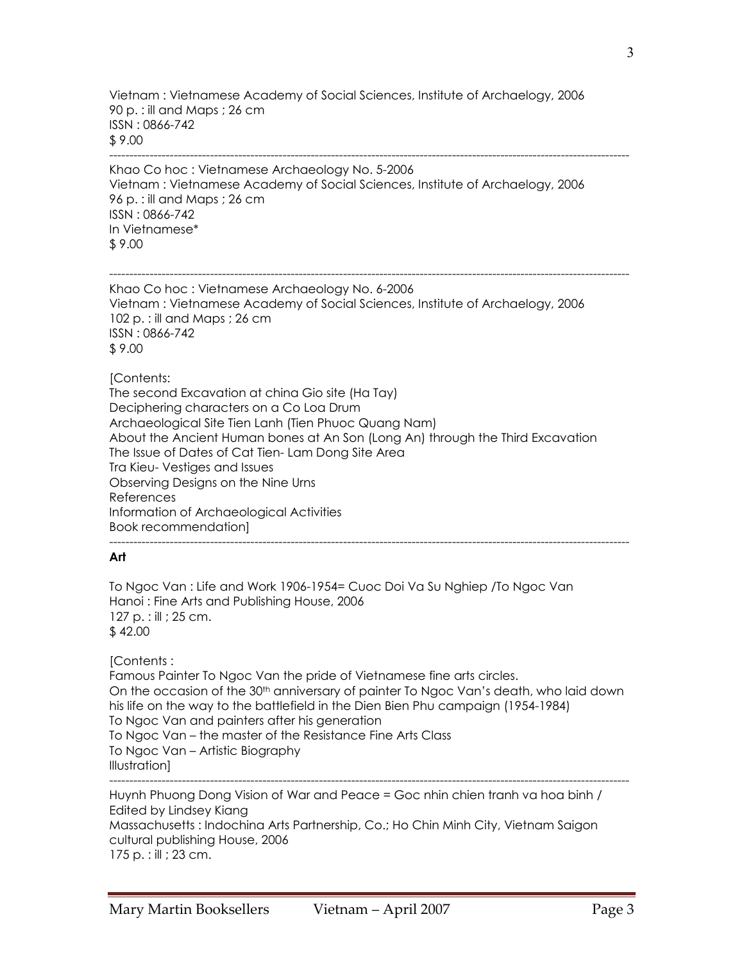Vietnam : Vietnamese Academy of Social Sciences, Institute of Archaelogy, 2006 90 p. : ill and Maps ; 26 cm ISSN : 0866-742 \$ 9.00 ---------------------------------------------------------------------------------------------------------------------------------

Khao Co hoc : Vietnamese Archaeology No. 5-2006 Vietnam : Vietnamese Academy of Social Sciences, Institute of Archaelogy, 2006 96 p. : ill and Maps ; 26 cm ISSN : 0866-742 In Vietnamese\* \$ 9.00

Khao Co hoc : Vietnamese Archaeology No. 6-2006 Vietnam : Vietnamese Academy of Social Sciences, Institute of Archaelogy, 2006 102 p. : ill and Maps ; 26 cm ISSN : 0866-742 \$ 9.00

---------------------------------------------------------------------------------------------------------------------------------

## [Contents:

The second Excavation at china Gio site (Ha Tay) Deciphering characters on a Co Loa Drum Archaeological Site Tien Lanh (Tien Phuoc Quang Nam) About the Ancient Human bones at An Son (Long An) through the Third Excavation The Issue of Dates of Cat Tien- Lam Dong Site Area Tra Kieu- Vestiges and Issues Observing Designs on the Nine Urns References Information of Archaeological Activities Book recommendation]

---------------------------------------------------------------------------------------------------------------------------------

# **Art**

To Ngoc Van : Life and Work 1906-1954= Cuoc Doi Va Su Nghiep /To Ngoc Van Hanoi : Fine Arts and Publishing House, 2006 127 p. : ill ; 25 cm. \$ 42.00

[Contents :

Famous Painter To Ngoc Van the pride of Vietnamese fine arts circles. On the occasion of the 30th anniversary of painter To Ngoc Van's death, who laid down his life on the way to the battlefield in the Dien Bien Phu campaign (1954-1984) To Ngoc Van and painters after his generation To Ngoc Van – the master of the Resistance Fine Arts Class To Ngoc Van – Artistic Biography Illustration]

--------------------------------------------------------------------------------------------------------------------------------- Huynh Phuong Dong Vision of War and Peace = Goc nhin chien tranh va hoa binh / Edited by Lindsey Kiang Massachusetts : Indochina Arts Partnership, Co.; Ho Chin Minh City, Vietnam Saigon cultural publishing House, 2006 175 p. : ill ; 23 cm.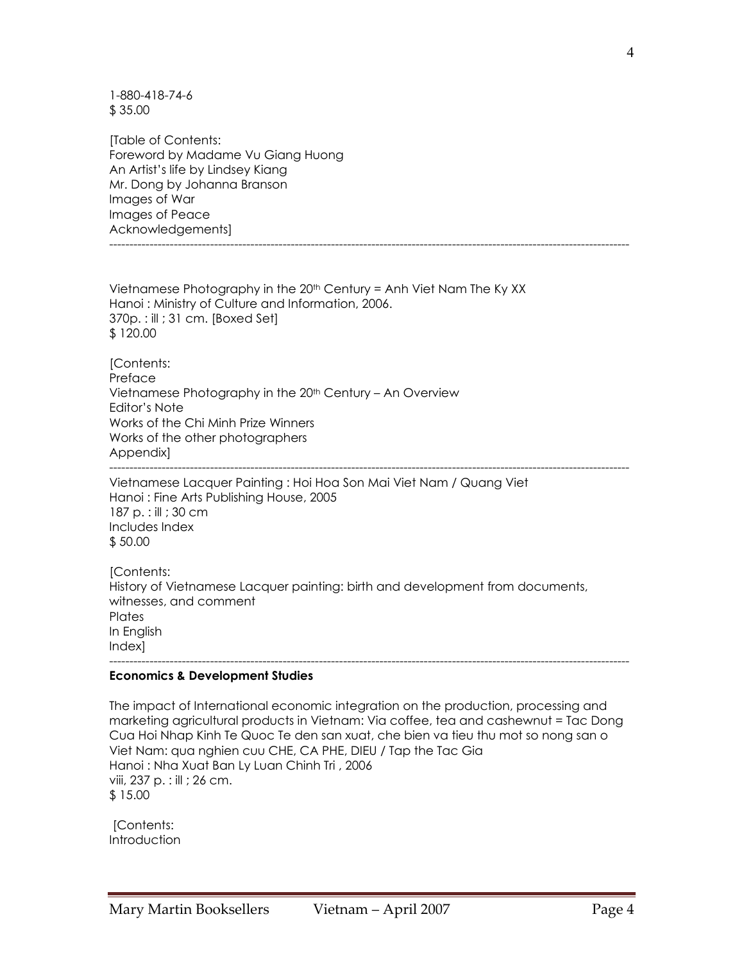4

1-880-418-74-6 \$ 35.00

[Table of Contents: Foreword by Madame Vu Giang Huong An Artist's life by Lindsey Kiang Mr. Dong by Johanna Branson Images of War Images of Peace Acknowledgements]

Vietnamese Photography in the  $20<sup>th</sup>$  Century = Anh Viet Nam The Ky XX Hanoi : Ministry of Culture and Information, 2006. 370p. : ill ; 31 cm. [Boxed Set] \$ 120.00

---------------------------------------------------------------------------------------------------------------------------------

[Contents: Preface Vietnamese Photography in the 20<sup>th</sup> Century - An Overview Editor's Note Works of the Chi Minh Prize Winners Works of the other photographers Appendix]

--------------------------------------------------------------------------------------------------------------------------------- Vietnamese Lacquer Painting : Hoi Hoa Son Mai Viet Nam / Quang Viet Hanoi : Fine Arts Publishing House, 2005 187 p. : ill ; 30 cm Includes Index \$ 50.00

[Contents: History of Vietnamese Lacquer painting: birth and development from documents, witnesses, and comment **Plates** In English Index]

#### **Economics & Development Studies**

The impact of International economic integration on the production, processing and marketing agricultural products in Vietnam: Via coffee, tea and cashewnut = Tac Dong Cua Hoi Nhap Kinh Te Quoc Te den san xuat, che bien va tieu thu mot so nong san o Viet Nam: qua nghien cuu CHE, CA PHE, DIEU / Tap the Tac Gia Hanoi : Nha Xuat Ban Ly Luan Chinh Tri , 2006 viii, 237 p. : ill ; 26 cm. \$ 15.00

---------------------------------------------------------------------------------------------------------------------------------

 [Contents: Introduction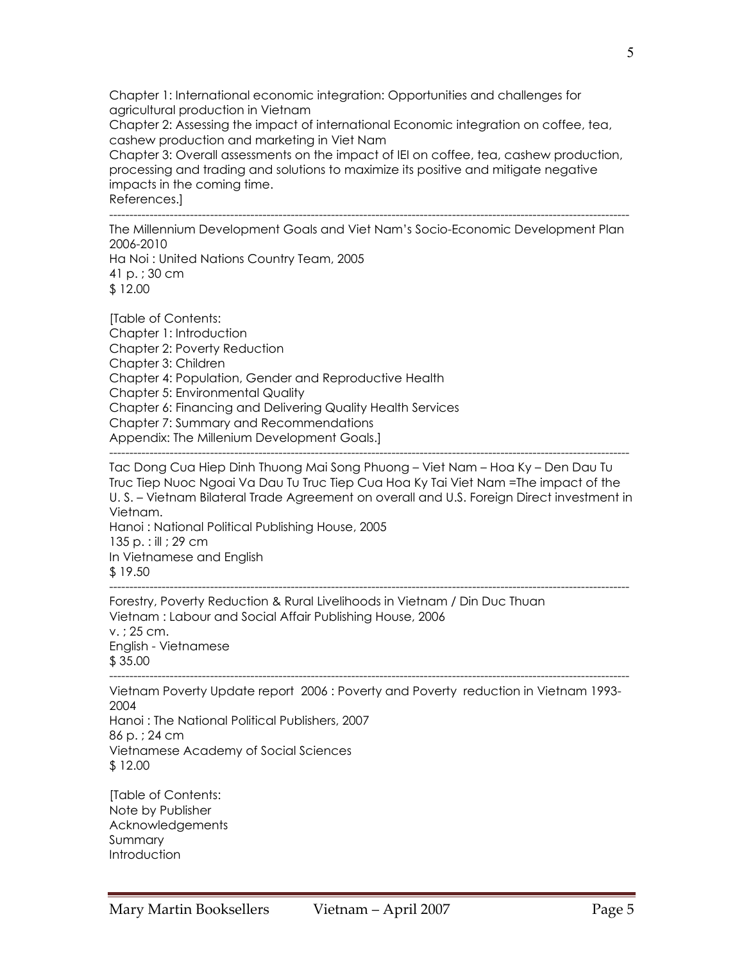Chapter 1: International economic integration: Opportunities and challenges for agricultural production in Vietnam Chapter 2: Assessing the impact of international Economic integration on coffee, tea, cashew production and marketing in Viet Nam Chapter 3: Overall assessments on the impact of IEI on coffee, tea, cashew production, processing and trading and solutions to maximize its positive and mitigate negative impacts in the coming time. References.]

--------------------------------------------------------------------------------------------------------------------------------- The Millennium Development Goals and Viet Nam's Socio-Economic Development Plan 2006-2010 Ha Noi : United Nations Country Team, 2005 41 p. ; 30 cm \$ 12.00 [Table of Contents:

Chapter 1: Introduction Chapter 2: Poverty Reduction Chapter 3: Children Chapter 4: Population, Gender and Reproductive Health Chapter 5: Environmental Quality Chapter 6: Financing and Delivering Quality Health Services Chapter 7: Summary and Recommendations Appendix: The Millenium Development Goals.]

--------------------------------------------------------------------------------------------------------------------------------- Tac Dong Cua Hiep Dinh Thuong Mai Song Phuong – Viet Nam – Hoa Ky – Den Dau Tu Truc Tiep Nuoc Ngoai Va Dau Tu Truc Tiep Cua Hoa Ky Tai Viet Nam =The impact of the U. S. – Vietnam Bilateral Trade Agreement on overall and U.S. Foreign Direct investment in Vietnam. Hanoi : National Political Publishing House, 2005 135 p. : ill ; 29 cm In Vietnamese and English \$ 19.50

---------------------------------------------------------------------------------------------------------------------------------

Forestry, Poverty Reduction & Rural Livelihoods in Vietnam / Din Duc Thuan Vietnam : Labour and Social Affair Publishing House, 2006 v. ; 25 cm. English - Vietnamese \$ 35.00

Vietnam Poverty Update report 2006 : Poverty and Poverty reduction in Vietnam 1993- 2004 Hanoi : The National Political Publishers, 2007 86 p. ; 24 cm Vietnamese Academy of Social Sciences \$ 12.00

---------------------------------------------------------------------------------------------------------------------------------

[Table of Contents: Note by Publisher Acknowledgements Summary **Introduction**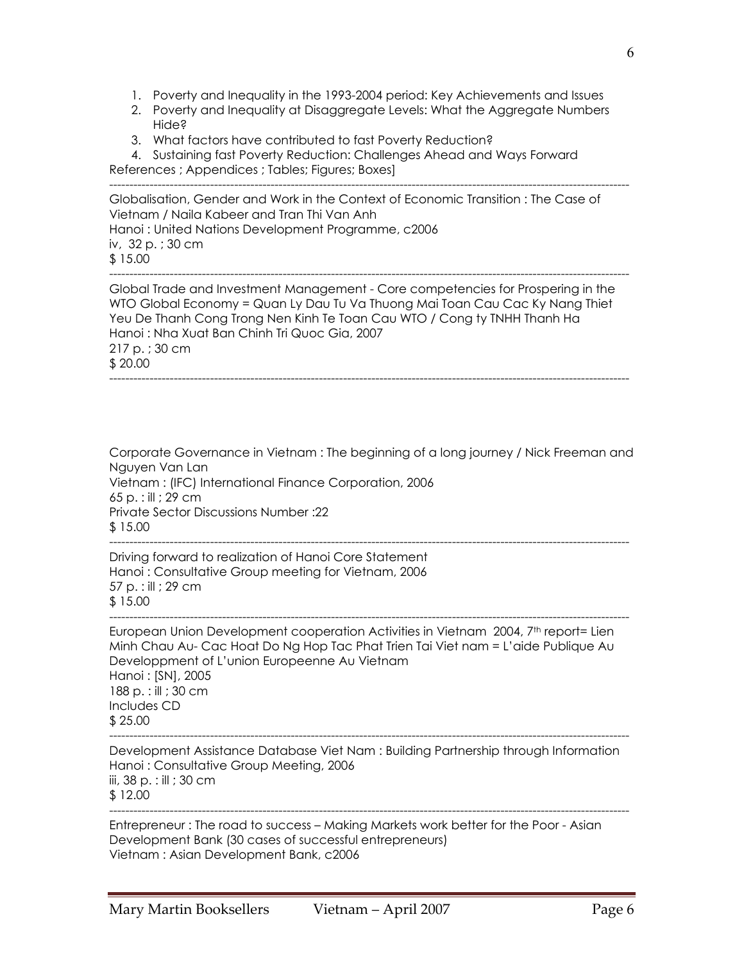- 1. Poverty and Inequality in the 1993-2004 period: Key Achievements and Issues
- 2. Poverty and Inequality at Disaggregate Levels: What the Aggregate Numbers Hide?
- 3. What factors have contributed to fast Poverty Reduction?

4. Sustaining fast Poverty Reduction: Challenges Ahead and Ways Forward References ; Appendices ; Tables; Figures; Boxes]

--------------------------------------------------------------------------------------------------------------------------------- Globalisation, Gender and Work in the Context of Economic Transition : The Case of Vietnam / Naila Kabeer and Tran Thi Van Anh Hanoi : United Nations Development Programme, c2006 iv, 32 p. ; 30 cm \$ 15.00 ---------------------------------------------------------------------------------------------------------------------------------

Global Trade and Investment Management - Core competencies for Prospering in the WTO Global Economy = Quan Ly Dau Tu Va Thuong Mai Toan Cau Cac Ky Nang Thiet Yeu De Thanh Cong Trong Nen Kinh Te Toan Cau WTO / Cong ty TNHH Thanh Ha Hanoi : Nha Xuat Ban Chinh Tri Quoc Gia, 2007 217 p. ; 30 cm \$ 20.00 ---------------------------------------------------------------------------------------------------------------------------------

Corporate Governance in Vietnam : The beginning of a long journey / Nick Freeman and Nguyen Van Lan Vietnam : (IFC) International Finance Corporation, 2006 65 p. : ill ; 29 cm Private Sector Discussions Number :22 \$ 15.00 ---------------------------------------------------------------------------------------------------------------------------------

Driving forward to realization of Hanoi Core Statement Hanoi : Consultative Group meeting for Vietnam, 2006 57 p. : ill ; 29 cm \$ 15.00

--------------------------------------------------------------------------------------------------------------------------------- European Union Development cooperation Activities in Vietnam 2004, 7<sup>th</sup> report= Lien Minh Chau Au- Cac Hoat Do Ng Hop Tac Phat Trien Tai Viet nam = L'aide Publique Au Developpment of L'union Europeenne Au Vietnam Hanoi : [SN], 2005 188 p. : ill ; 30 cm Includes CD \$ 25.00

--------------------------------------------------------------------------------------------------------------------------------- Development Assistance Database Viet Nam : Building Partnership through Information Hanoi : Consultative Group Meeting, 2006 iii, 38 p. : ill ; 30 cm \$ 12.00 ---------------------------------------------------------------------------------------------------------------------------------

Entrepreneur : The road to success – Making Markets work better for the Poor - Asian Development Bank (30 cases of successful entrepreneurs) Vietnam : Asian Development Bank, c2006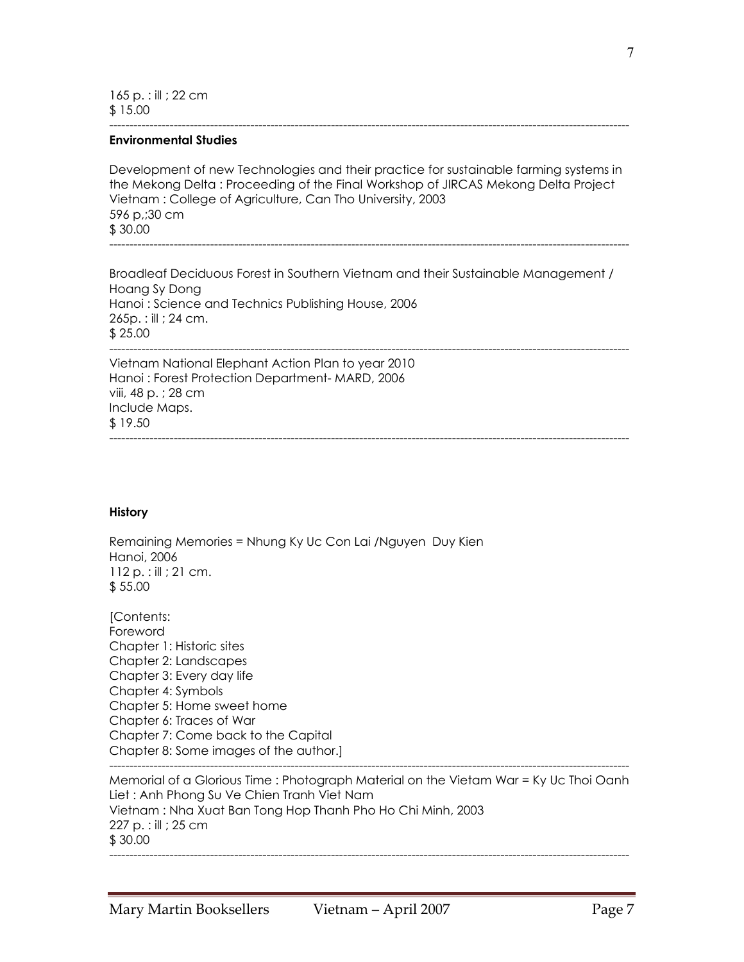#### **Environmental Studies**

Development of new Technologies and their practice for sustainable farming systems in the Mekong Delta : Proceeding of the Final Workshop of JIRCAS Mekong Delta Project Vietnam : College of Agriculture, Can Tho University, 2003 596 p,;30 cm \$ 30.00

---------------------------------------------------------------------------------------------------------------------------------

---------------------------------------------------------------------------------------------------------------------------------

Broadleaf Deciduous Forest in Southern Vietnam and their Sustainable Management / Hoang Sy Dong Hanoi : Science and Technics Publishing House, 2006 265p. : ill ; 24 cm. \$ 25.00 ---------------------------------------------------------------------------------------------------------------------------------

---------------------------------------------------------------------------------------------------------------------------------

Vietnam National Elephant Action Plan to year 2010 Hanoi : Forest Protection Department- MARD, 2006 viii, 48 p. ; 28 cm Include Maps. \$ 19.50

#### **History**

Remaining Memories = Nhung Ky Uc Con Lai /Nguyen Duy Kien Hanoi, 2006 112 p. : ill ; 21 cm. \$ 55.00

[Contents: Foreword Chapter 1: Historic sites Chapter 2: Landscapes Chapter 3: Every day life Chapter 4: Symbols Chapter 5: Home sweet home Chapter 6: Traces of War Chapter 7: Come back to the Capital Chapter 8: Some images of the author.]

---------------------------------------------------------------------------------------------------------------------------------

Memorial of a Glorious Time : Photograph Material on the Vietam War = Ky Uc Thoi Oanh Liet : Anh Phong Su Ve Chien Tranh Viet Nam Vietnam : Nha Xuat Ban Tong Hop Thanh Pho Ho Chi Minh, 2003 227 p. : ill ; 25 cm \$ 30.00 ---------------------------------------------------------------------------------------------------------------------------------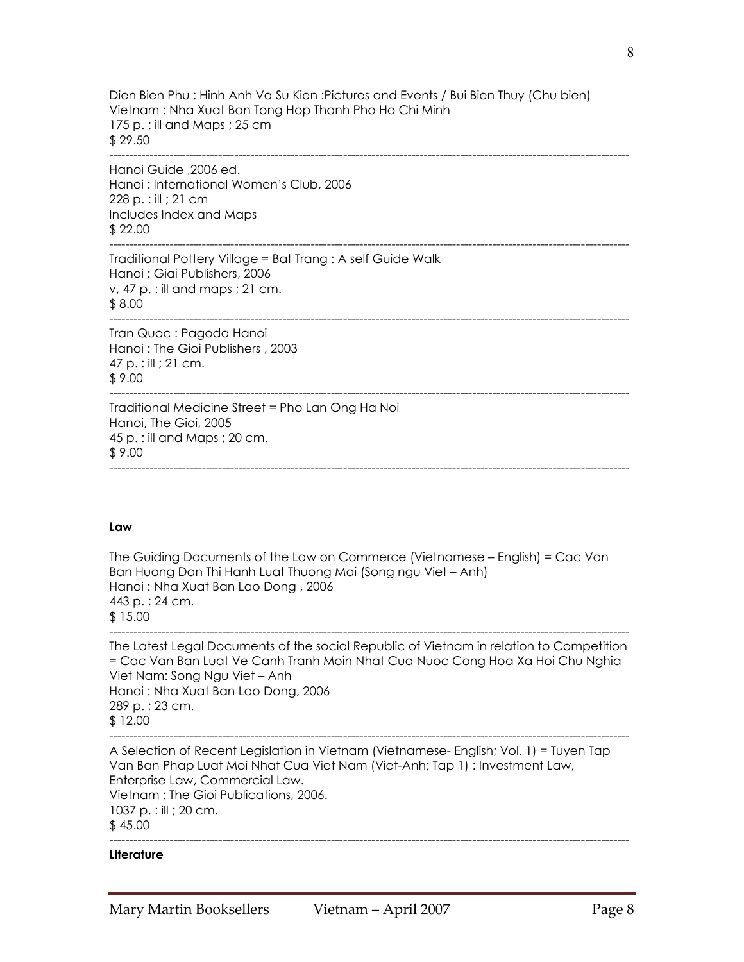Dien Bien Phu : Hinh Anh Va Su Kien :Pictures and Events / Bui Bien Thuy (Chu bien) Vietnam : Nha Xuat Ban Tong Hop Thanh Pho Ho Chi Minh 175 p. : ill and Maps ; 25 cm \$ 29.50

---------------------------------------------------------------------------------------------------------------------------------

---------------------------------------------------------------------------------------------------------------------------------

---------------------------------------------------------------------------------------------------------------------------------

---------------------------------------------------------------------------------------------------------------------------------

Hanoi Guide ,2006 ed. Hanoi : International Women's Club, 2006 228 p. : ill ; 21 cm Includes Index and Maps \$ 22.00

Traditional Pottery Village = Bat Trang : A self Guide Walk Hanoi : Giai Publishers, 2006 v, 47 p. : ill and maps ; 21 cm. \$ 8.00

Tran Quoc : Pagoda Hanoi Hanoi : The Gioi Publishers , 2003 47 p. : ill ; 21 cm. \$ 9.00

Traditional Medicine Street = Pho Lan Ong Ha Noi Hanoi, The Gioi, 2005 45 p. : ill and Maps ; 20 cm. \$ 9.00 ---------------------------------------------------------------------------------------------------------------------------------

#### **Law**

The Guiding Documents of the Law on Commerce (Vietnamese – English) = Cac Van Ban Huong Dan Thi Hanh Luat Thuong Mai (Song ngu Viet – Anh) Hanoi : Nha Xuat Ban Lao Dong , 2006 443 p. ; 24 cm. \$ 15.00 ---------------------------------------------------------------------------------------------------------------------------------

The Latest Legal Documents of the social Republic of Vietnam in relation to Competition = Cac Van Ban Luat Ve Canh Tranh Moin Nhat Cua Nuoc Cong Hoa Xa Hoi Chu Nghia Viet Nam: Song Ngu Viet – Anh Hanoi : Nha Xuat Ban Lao Dong, 2006 289 p. ; 23 cm. \$ 12.00

--------------------------------------------------------------------------------------------------------------------------------- A Selection of Recent Legislation in Vietnam (Vietnamese- English; Vol. 1) = Tuyen Tap Van Ban Phap Luat Moi Nhat Cua Viet Nam (Viet-Anh; Tap 1) : Investment Law, Enterprise Law, Commercial Law. Vietnam : The Gioi Publications, 2006. 1037 p. : ill ; 20 cm. \$ 45.00 ---------------------------------------------------------------------------------------------------------------------------------

#### **Literature**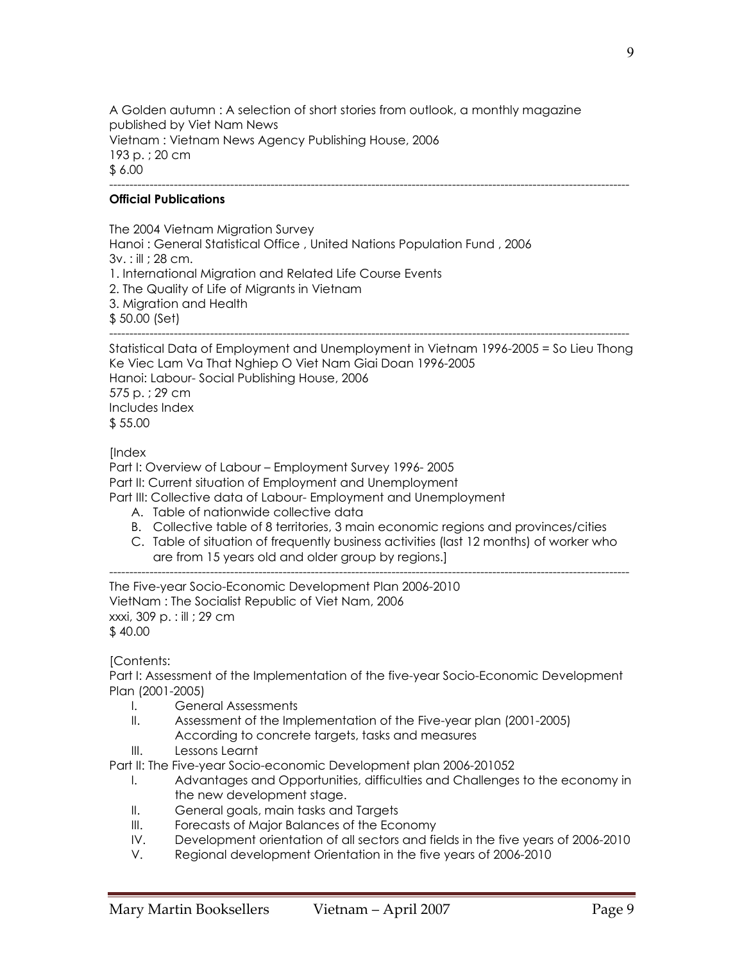A Golden autumn : A selection of short stories from outlook, a monthly magazine published by Viet Nam News Vietnam : Vietnam News Agency Publishing House, 2006 193 p. ; 20 cm \$ 6.00 ---------------------------------------------------------------------------------------------------------------------------------

# **Official Publications**

The 2004 Vietnam Migration Survey Hanoi : General Statistical Office , United Nations Population Fund , 2006 3v. : ill ; 28 cm. 1. International Migration and Related Life Course Events 2. The Quality of Life of Migrants in Vietnam 3. Migration and Health \$ 50.00 (Set) ---------------------------------------------------------------------------------------------------------------------------------

Statistical Data of Employment and Unemployment in Vietnam 1996-2005 = So Lieu Thong Ke Viec Lam Va That Nghiep O Viet Nam Giai Doan 1996-2005 Hanoi: Labour- Social Publishing House, 2006 575 p. ; 29 cm Includes Index \$ 55.00

[Index

Part I: Overview of Labour – Employment Survey 1996- 2005 Part II: Current situation of Employment and Unemployment Part III: Collective data of Labour- Employment and Unemployment

- A. Table of nationwide collective data
- B. Collective table of 8 territories, 3 main economic regions and provinces/cities
- C. Table of situation of frequently business activities (last 12 months) of worker who are from 15 years old and older group by regions.]

--------------------------------------------------------------------------------------------------------------------------------- The Five-year Socio-Economic Development Plan 2006-2010 VietNam : The Socialist Republic of Viet Nam, 2006 xxxi, 309 p. : ill ; 29 cm \$ 40.00

[Contents:

Part I: Assessment of the Implementation of the five-year Socio-Economic Development Plan (2001-2005)

- I. General Assessments
- II. Assessment of the Implementation of the Five-year plan (2001-2005) According to concrete targets, tasks and measures
- III. Lessons Learnt

Part II: The Five-year Socio-economic Development plan 2006-201052

- I. Advantages and Opportunities, difficulties and Challenges to the economy in the new development stage.
- II. General goals, main tasks and Targets
- III. Forecasts of Major Balances of the Economy
- IV. Development orientation of all sectors and fields in the five years of 2006-2010
- V. Regional development Orientation in the five years of 2006-2010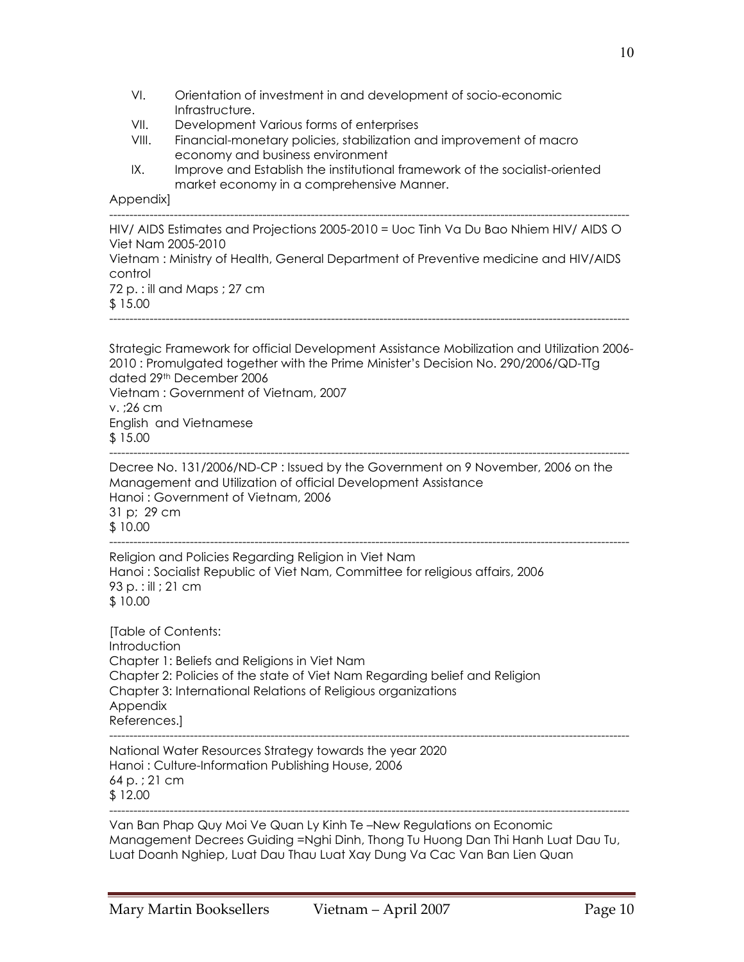- VI. Orientation of investment in and development of socio-economic Infrastructure.
- VII. Development Various forms of enterprises
- VIII. Financial-monetary policies, stabilization and improvement of macro economy and business environment
- IX. Improve and Establish the institutional framework of the socialist-oriented market economy in a comprehensive Manner.

## Appendix]

--------------------------------------------------------------------------------------------------------------------------------- HIV/ AIDS Estimates and Projections 2005-2010 = Uoc Tinh Va Du Bao Nhiem HIV/ AIDS O Viet Nam 2005-2010 Vietnam : Ministry of Health, General Department of Preventive medicine and HIV/AIDS control 72 p. : ill and Maps ; 27 cm \$ 15.00 ---------------------------------------------------------------------------------------------------------------------------------

Strategic Framework for official Development Assistance Mobilization and Utilization 2006- 2010 : Promulgated together with the Prime Minister's Decision No. 290/2006/QD-TTg dated 29th December 2006 Vietnam : Government of Vietnam, 2007 v. ;26 cm English and Vietnamese \$ 15.00 ---------------------------------------------------------------------------------------------------------------------------------

Decree No. 131/2006/ND-CP : Issued by the Government on 9 November, 2006 on the Management and Utilization of official Development Assistance Hanoi : Government of Vietnam, 2006 31 p; 29 cm \$ 10.00

---------------------------------------------------------------------------------------------------------------------------------

Religion and Policies Regarding Religion in Viet Nam Hanoi : Socialist Republic of Viet Nam, Committee for religious affairs, 2006 93 p. : ill ; 21 cm \$ 10.00

[Table of Contents: **Introduction** Chapter 1: Beliefs and Religions in Viet Nam Chapter 2: Policies of the state of Viet Nam Regarding belief and Religion Chapter 3: International Relations of Religious organizations Appendix References.]

--------------------------------------------------------------------------------------------------------------------------------- National Water Resources Strategy towards the year 2020 Hanoi : Culture-Information Publishing House, 2006 64 p. ; 21 cm \$ 12.00 ---------------------------------------------------------------------------------------------------------------------------------

Van Ban Phap Quy Moi Ve Quan Ly Kinh Te –New Regulations on Economic Management Decrees Guiding =Nghi Dinh, Thong Tu Huong Dan Thi Hanh Luat Dau Tu, Luat Doanh Nghiep, Luat Dau Thau Luat Xay Dung Va Cac Van Ban Lien Quan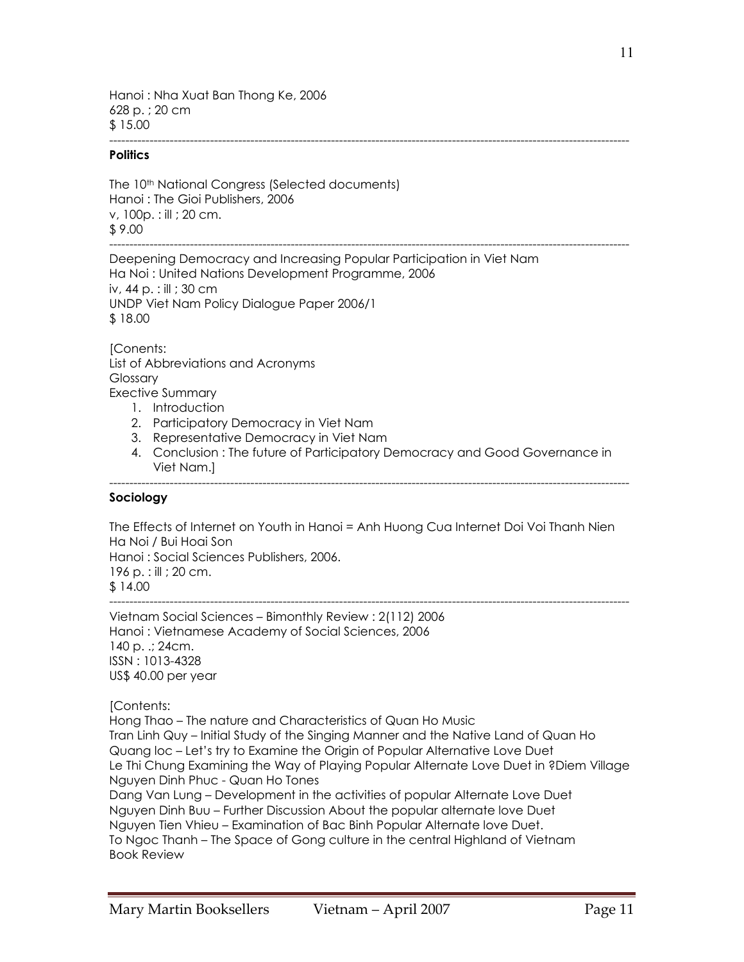Hanoi : Nha Xuat Ban Thong Ke, 2006 628 p. ; 20 cm \$ 15.00

#### **Politics**

The 10<sup>th</sup> National Congress (Selected documents) Hanoi : The Gioi Publishers, 2006 v, 100p. : ill ; 20 cm. \$ 9.00 ---------------------------------------------------------------------------------------------------------------------------------

Deepening Democracy and Increasing Popular Participation in Viet Nam Ha Noi : United Nations Development Programme, 2006 iv, 44 p. : ill ; 30 cm UNDP Viet Nam Policy Dialogue Paper 2006/1 \$ 18.00

[Conents: List of Abbreviations and Acronyms Glossary Exective Summary

- 1. Introduction
- 2. Participatory Democracy in Viet Nam
- 3. Representative Democracy in Viet Nam
- 4. Conclusion : The future of Participatory Democracy and Good Governance in Viet Nam.] ---------------------------------------------------------------------------------------------------------------------------------

---------------------------------------------------------------------------------------------------------------------------------

#### **Sociology**

The Effects of Internet on Youth in Hanoi = Anh Huong Cua Internet Doi Voi Thanh Nien Ha Noi / Bui Hoai Son Hanoi : Social Sciences Publishers, 2006. 196 p. : ill ; 20 cm.

---------------------------------------------------------------------------------------------------------------------------------

\$ 14.00

Vietnam Social Sciences – Bimonthly Review : 2(112) 2006 Hanoi : Vietnamese Academy of Social Sciences, 2006 140 p. .; 24cm. ISSN : 1013-4328 US\$ 40.00 per year

[Contents:

Hong Thao – The nature and Characteristics of Quan Ho Music Tran Linh Quy – Initial Study of the Singing Manner and the Native Land of Quan Ho Quang loc – Let's try to Examine the Origin of Popular Alternative Love Duet Le Thi Chung Examining the Way of Playing Popular Alternate Love Duet in ?Diem Village Nguyen Dinh Phuc - Quan Ho Tones Dang Van Lung – Development in the activities of popular Alternate Love Duet Nguyen Dinh Buu – Further Discussion About the popular alternate love Duet Nguyen Tien Vhieu – Examination of Bac Binh Popular Alternate love Duet. To Ngoc Thanh – The Space of Gong culture in the central Highland of Vietnam Book Review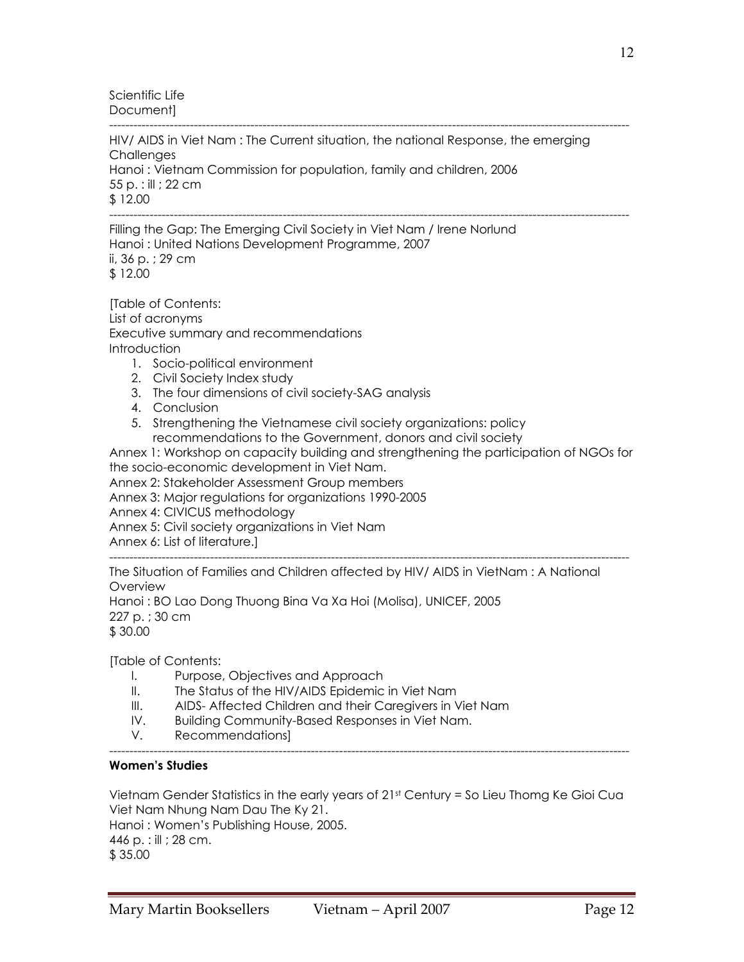Scientific Life Document]

--------------------------------------------------------------------------------------------------------------------------------- HIV/ AIDS in Viet Nam : The Current situation, the national Response, the emerging **Challenges** Hanoi : Vietnam Commission for population, family and children, 2006 55 p. : ill ; 22 cm \$ 12.00 ---------------------------------------------------------------------------------------------------------------------------------

Filling the Gap: The Emerging Civil Society in Viet Nam / Irene Norlund Hanoi : United Nations Development Programme, 2007 ii, 36 p. ; 29 cm \$ 12.00

[Table of Contents: List of acronyms Executive summary and recommendations Introduction

- 1. Socio-political environment
- 2. Civil Society Index study
- 3. The four dimensions of civil society-SAG analysis
- 4. Conclusion
- 5. Strengthening the Vietnamese civil society organizations: policy recommendations to the Government, donors and civil society

Annex 1: Workshop on capacity building and strengthening the participation of NGOs for the socio-economic development in Viet Nam.

Annex 2: Stakeholder Assessment Group members

Annex 3: Major regulations for organizations 1990-2005

Annex 4: CIVICUS methodology

Annex 5: Civil society organizations in Viet Nam

Annex 6: List of literature.]

--------------------------------------------------------------------------------------------------------------------------------- The Situation of Families and Children affected by HIV/ AIDS in VietNam : A National **Overview** 

Hanoi : BO Lao Dong Thuong Bina Va Xa Hoi (Molisa), UNICEF, 2005

227 p. ; 30 cm

\$ 30.00

[Table of Contents:

- I. Purpose, Objectives and Approach
- II. The Status of the HIV/AIDS Epidemic in Viet Nam
- III. AIDS- Affected Children and their Caregivers in Viet Nam
- IV. Building Community-Based Responses in Viet Nam.
- V. Recommendations]

#### **Women's Studies**

Vietnam Gender Statistics in the early years of 21st Century = So Lieu Thomg Ke Gioi Cua Viet Nam Nhung Nam Dau The Ky 21. Hanoi : Women's Publishing House, 2005. 446 p. : ill ; 28 cm. \$ 35.00

---------------------------------------------------------------------------------------------------------------------------------